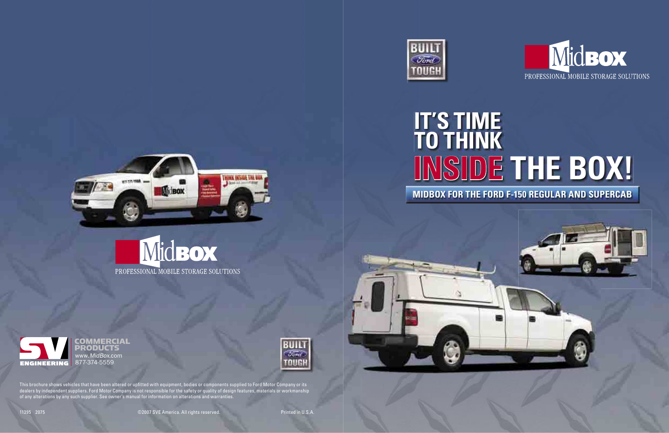11395 2075 ©2007 SVE America. All rights reserved. Printed in U.S.A.

This brochure shows vehicles that have been altered or upfitted with equipment, bodies or components supplied to Ford Motor Company or its dealers by independent suppliers. Ford Motor Company is not responsible for the safety or quality of design features, materials or workmanship of any alterations by any such supplier. See owner's manual for information on alterations and warranties.

COMMERCIAL<br>PRODUCTS www.MidBox.com









# **INSIDE THE BOX! MIDBOX FOR THE FORD F-150 REGULAR AND SUPERCAB**









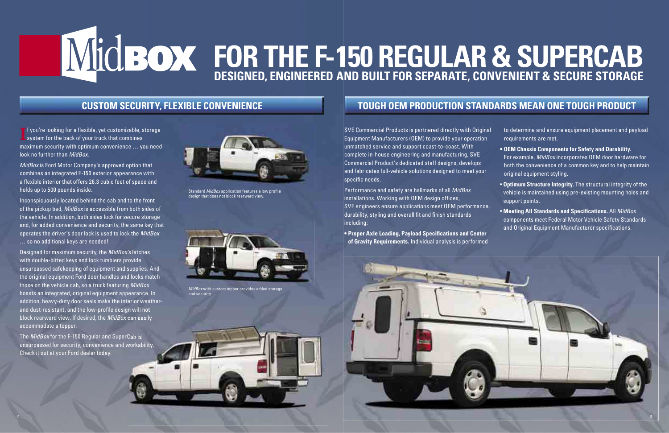MidBox is Ford Motor Company's approved option that combines an integrated F-150 exterior appearance with a flexible interior that offers 26.3 cubic feet of space and holds up to 500 pounds inside.

Inconspicuously located behind the cab and to the front of the pickup bed, MidBox is accessible from both sides of the vehicle. In addition, both sides lock for secure storage and, for added convenience and security, the same key that operates the driver's door lock is used to lock the MidBox … so no additional keys are needed!

The MidBox for the F-150 Regular and SuperCab is unsurpassed for security, convenience and workability. Check it out at your Ford dealer today.

SVE Commercial Products is partnered directly with Original Equipment Manufacturers (OEM) to provide your operation unmatched service and support coast-to-coast. With complete in-house engineering and manufacturing, SVE Commercial Product's dedicated staff designs, develops and fabricates full-vehicle solutions designed to meet your  $|$ specific needs.

Designed for maximum security, the MidBox's latches with double-bitted keys and lock tumblers provide unsurpassed safekeeping of equipment and supplies. And the original equipment Ford door handles and locks match those on the vehicle cab, so a truck featuring MidBox boasts an integrated, original equipment appearance. In addition, heavy-duty door seals make the interior weatherand dust-resistant, and the low-profile design will not block rearward view. If desired, the MidBox can easily accommodate a topper.

Performance and safety are hallmarks of all MidBox installations. Working with OEM design offices, SVE engineers ensure applications meet OEM performance, durability, styling and overall fit and finish standards including:

**• Proper Axle Loading, Payload Specifications and Center of Gravity Requirements.** Individual analysis is performed



- **OEM Chassis Components for Safety and Durability.**  For example, MidBox incorporates OEM door hardware for both the convenience of a common key and to help maintain original equipment styling.
- **Optimum Structure Integrity.** The structural integrity of the vehicle is maintained using pre-existing mounting holes and support points.
- Meeting All Standards and Specifications. All MidBox components meet Federal Motor Vehicle Safety Standards and Original Equipment Manufacturer specifications.

# **TOUGH OEM PRODUCTION STANDARDS MEAN ONE TOUGH PRODUCT**



Standard MidBox application features a low profile design that does not block rearward view.

to determine and ensure equipment placement and payload requirements are met.



## **CUSTOM SECURITY, FLEXIBLE CONVENIENCE**

**I** f you're looking for a flexible, yet customizable, s<br>system for the back of your truck that combines **F** f you're looking for a flexible, yet customizable, storage maximum security with optimum convenience … you need look no further than MidBox.



MidBox with custom topper provides added storage and security.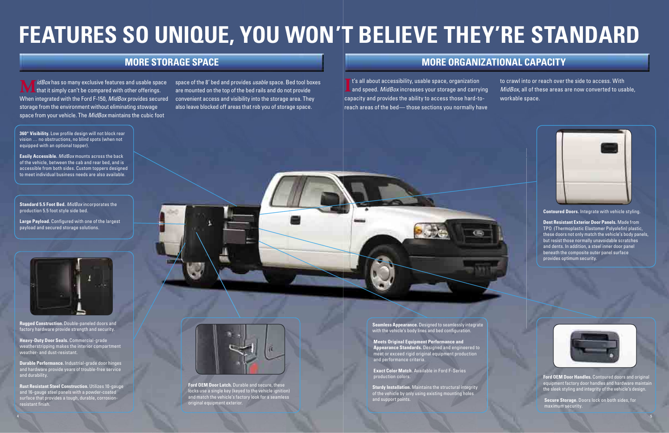space of the 8' bed and provides *usable* space. Bed tool boxes are mounted on the top of the bed rails and do not provide also leave blocked off areas that rob you of storage space.

**Rust Resistant Steel Construction.** Utilizes 10-gauge and 16-gauge steel panels with a powder-coated surface that provides a tough, durable, corrosionresistant finish.

# **FEATURES SO UNIQUE, YOU WON'T BELIEVE THEY'RE STANDARD**

**M** *idBox* has so many exclusive features and usable space<br>that it simply can't be compared with other offerings. When integrated with the Ford F-150, *MidBox* provides secured convenient access and visibility into the storage area. They storage from the environment without eliminating stowage space from your vehicle. The *MidBox* maintains the cubic foot

 **Rugged Construction.** Double-paneled doors and factory hardware provide strength and security.

**I** t's all about accessibility, usable space, organization<br>and speed. *MidBox* increases your storage and carrying t's all about accessibility, usable space, organization capacity and provides the ability to access those hard-toreach areas of the bed— those sections you normally have





**Heavy-Duty Door Seals.** Commercial-grade weatherstripping makes the interior compartment weather- and dust-resistant.

**360° Visibility.** Low profile design will not block rear vision … no obstructions, no blind spots (when not equipped with an optional topper).

**Durable Performance.** Industrial-grade door hinges and hardware provide years of trouble-free service and durability.

**Easily Accessible.** MidBox mounts across the back of the vehicle, between the cab and rear bed, and is accessible from both sides. Custom toppers designed to meet individual business needs are also available.

Large Payload. Configured with one of the largest payload and secured storage solutions.



 **Seamless Appearance.** Designed to seamlessly integrate with the vehicle's body lines and bed configuration.

## **MORE STORAGE SPACE MORE ORGANIZATIONAL CAPACITY**

**Sturdy Installation.** Maintains the structural integrity of the vehicle by only using existing mounting holes and support points.

to crawl into or reach over the side to access. With MidBox, all of these areas are now converted to usable, workable space.



**Standard 5.5 Foot Bed.** MidBox incorporates the production 5.5 foot style side bed.

> **Ford OEM Door Latch.** Durable and secure, these locks use a single key (keyed to the vehicle ignition) and match the vehicle's factory look for a seamless original equipment exterior.

 **Meets Original Equipment Performance and Appearance Standards.** Designed and engineered to meet or exceed rigid original equipment production and performance criteria.

 **Exact Color Match.** Available in Ford F-Series production colors.

**Contoured Doors.** Integrate with vehicle styling.

 **Dent Resistant Exterior Door Panels.** Made from TPO (Thermoplastic Elastomer Polyolefin) plastic, these doors not only match the vehicle's body panels, but resist those normally unavoidable scratches and dents. In addition, a steel inner door panel beneath the composite outer panel surface provides optimum security.



**Ford OEM Door Handles.** Contoured doors and original equipment factory door handles and hardware maintain the sleek styling and integrity of the vehicle's design.

 **Secure Storage.** Doors lock on both sides, for maximum security.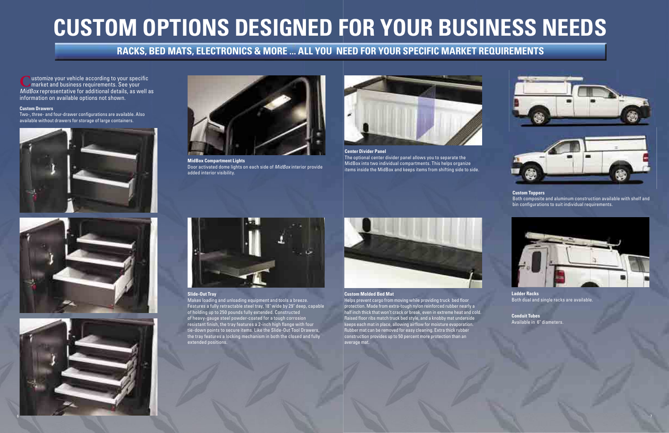# **CUSTOM OPTIONS DESIGNED FOR YOUR BUSINESS NEEDS**

**Lustomize your vehicle according to your specific** market and business requirements. See your MidBox representative for additional details, as well as information on available options not shown.



**MidBox Compartment Lights** Door activated dome lights on each side of MidBox interior provide added interior visibility.





Two-, three- and four-drawer configurations are available. Also available without drawers for storage of large containers.





### **Custom Drawers**

Helps prevent cargo from moving while providing truck bed floor protection. Made from extra-tough nylon reinforced rubber nearly a half inch thick that won't crack or break, even in extreme heat and cold. Raised floor ribs match truck bed style, and a knobby mat underside keeps each mat in place, allowing airflow for moisture evaporation. Rubber mat can be removed for easy cleaning. Extra thick rubber construction provides up to 50 percent more protection than an average mat.



#### **Custom Molded Bed Mat**

**Custom Toppers** Both composite and aluminum construction available with shelf and bin configurations to suit individual requirements.

#### **Slide-Out Tray**

Makes loading and unloading equipment and tools a breeze. Features a fully retractable steel tray, 18" wide by 29" deep, capable of holding up to 250 pounds fully extended. Constructed of heavy-gauge steel powder-coated for a tough corrosion resistant finish, the tray features a 2-inch high flange with four tie-down points to secure items. Like the Slide-Out Tool Drawers, the tray features a locking mechanism in both the closed and fully extended positions.





**Ladder Racks** Both dual and single racks are available.

**Conduit Tubes** Available in 6" diameters.

#### **Center Divider Panel** The optional center divider panel allows you to separate the MidBox into two individual compartments. This helps organize items inside the MidBox and keeps items from shifting side to side.



# **RACKS, BED MATS, ELECTRONICS & MORE ... ALL YOU NEED FOR YOUR SPECIFIC MARKET REQUIREMENTS**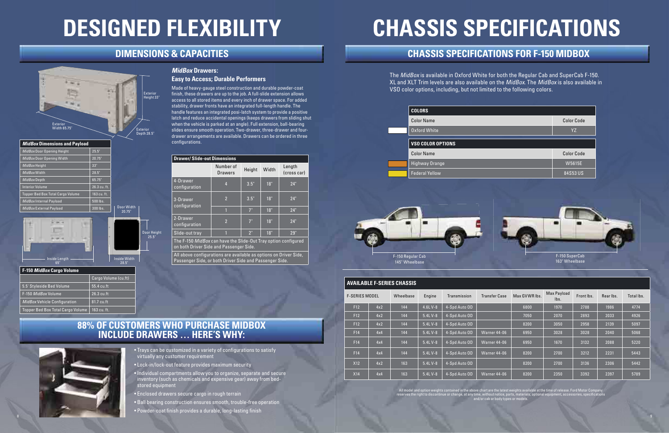The MidBox is available in Oxford White for both the Regular Cab and SuperCab F-150. XL and XLT Trim levels are also available on the MidBox. The MidBox is also available in VSO color options, including, but not limited to the following colors.

## **DIMENSIONS & CAPACITIES**

Door Height 25.5"



Made of heavy-gauge steel construction and durable powder-coat finish, these drawers are up to the job. A full-slide extension allows access to all stored items and every inch of drawer space. For added stability, drawer fronts have an integrated full-length handle. The handle features an integrated posi-latch system to provide a positive latch and reduce accidental openings (keeps drawers from sliding shut when the vehicle is parked at an angle). Full extension, ball-bearing slides ensure smooth operation. Two-drawer, three-drawer and fourdrawer arrangements are available. Drawers can be ordered in three configurations.

### **88% OF CUSTOMERS WHO PURCHASE MIDBOX INCLUDE DRAWERS … HERE'S WHY:**

# **MidBox Drawers:**

### **Easy to Access; Durable Performers**

The F-150 MidBox can have the Slide-Out Tray option configured on both Driver Side and Passenger Side.

| <b>Drawer/Slide-out Dimensions</b> |                      |        |       |                       |  |  |
|------------------------------------|----------------------|--------|-------|-----------------------|--|--|
|                                    | Number of<br>Drawers | Height | Width | Length<br>(cross car) |  |  |
| 4-Drawer<br>configuration          | 4                    | 3.5"   | 18"   | 24"                   |  |  |
| 3-Drawer<br>configuration          | $\overline{2}$       | 3.5"   | 18"   | 24"                   |  |  |
|                                    |                      | 7"     | 18"   | 24"                   |  |  |
| 2-Drawer<br>configuration          | $\overline{2}$       | 7"     | 18"   | 24"                   |  |  |
| Slide-out tray                     |                      | 2"     | 18"   | 29"                   |  |  |

| <b>MidBox Dimensions and Payload</b>     |              |                      |
|------------------------------------------|--------------|----------------------|
| MidBox Door Opening Height               | 25.5"        |                      |
| MidBox Door Opening Width                | 20.75"       |                      |
| MidBox Height                            | 33"          |                      |
| MidBox Width                             | 28.5"        |                      |
| MidBox Depth                             | 65.75"       |                      |
| <b>Interior Volume</b>                   | 26.3 cu. ft. |                      |
| <b>Topper Bed Box Total Cargo Volume</b> | 163 cu. ft.  |                      |
| MidBox Internal Payload                  | 500 lbs.     |                      |
| MidBox External Payload                  | 300 lbs.     | Door Width<br>20.75" |
|                                          |              |                      |

All above configurations are available as options on Driver Side, Passenger Side, or both Driver Side and Passenger Side.

| F-150 MidBox Cargo Volume                |                      |  |  |  |  |
|------------------------------------------|----------------------|--|--|--|--|
|                                          | Cargo Volume (cu.ft) |  |  |  |  |
| 5.5' Styleside Bed Volume                | 55.4 cu.ft           |  |  |  |  |
| F-150 MidBox Volume                      | $26.3$ cu.ft         |  |  |  |  |
| MidBox Vehicle Configuration             | 81.7 cu.ft           |  |  |  |  |
| <b>Topper Bed Box Total Cargo Volume</b> | 163 cu. ft.          |  |  |  |  |

| <b>AVAILABLE F-SERIES CHASSIS</b> |     |           |            |               |                      |               |                     |            |           |            |
|-----------------------------------|-----|-----------|------------|---------------|----------------------|---------------|---------------------|------------|-----------|------------|
| <b>F-SERIES MODEL</b>             |     | Wheelbase | Engine     | Transmission  | <b>Transfer Case</b> | Max GVWR lbs. | Max Payload<br>lbs. | Front lbs. | Rear Ibs. | Total lbs. |
| F12                               | 4x2 | 144       | 4.6L V-8   | 4-Spd Auto OD |                      | 6800          | 1970                | 2788       | 1986      | 4774       |
| F12                               | 4x2 | 144       | 5.4L V-8   | 4-Spd Auto OD |                      | 7050          | 2070                | 2893       | 2033      | 4926       |
| F12                               | 4x2 | 144       | 5.4L V-8   | 4-Spd Auto OD |                      | 8200          | 3050                | 2958       | 2139      | 5097       |
| F14                               | 4x4 | 144       | 5.4L V-8   | 4-Spd Auto OD | Warner 44-06         | 6950          | 3028                | 3028       | 2040      | 5068       |
| F14                               | 4x4 | 144       | $5.4L$ V-8 | 4-Spd Auto OD | Warner 44-06         | 6950          | 1670                | 3132       | 2088      | 5220       |
| F14                               | 4x4 | 144       | $5.4L$ V-8 | 4-Spd Auto OD | Warner 44-06         | 8200          | 2700                | 3212       | 2231      | 5443       |
| X12                               | 4x2 | 163       | 5.4L V-8   | 4-Spd Auto OD |                      | 8200          | 2700                | 3136       | 2306      | 5442       |
| <b>X14</b>                        | 4x4 | 163       | $5.4L$ V-8 | 4-Spd Auto OD | Warner 44-06         | 8200          | 2350                | 3392       | 2397      | 5789       |

# **DESIGNED FLEXIBILITY**

## **CHASSIS SPECIFICATIONS FOR F-150 MIDBOX**



- Trays can be customized in a variety of configurations to satisfy virtually any customer requirement
- Lock-in/lock-out feature provides maximum security
- Individual compartments allow you to organize, separate and secure inventory (such as chemicals and expensive gear) away from bedstored equipment
- Enclosed drawers secure cargo in rough terrain
- Ball bearing construction ensures smooth, trouble-free operation
- Powder-coat finish provides a durable, long-lasting finish

# **CHASSIS SPECIFICATIONS**





All model and option weights contained in the above chart are the latest weights available at the time of release. Ford Motor Company reserves the right to discontinue or change, at any time, without notice, parts, materials, optional equipment, accessories, specifications and/or cab or body types or models.